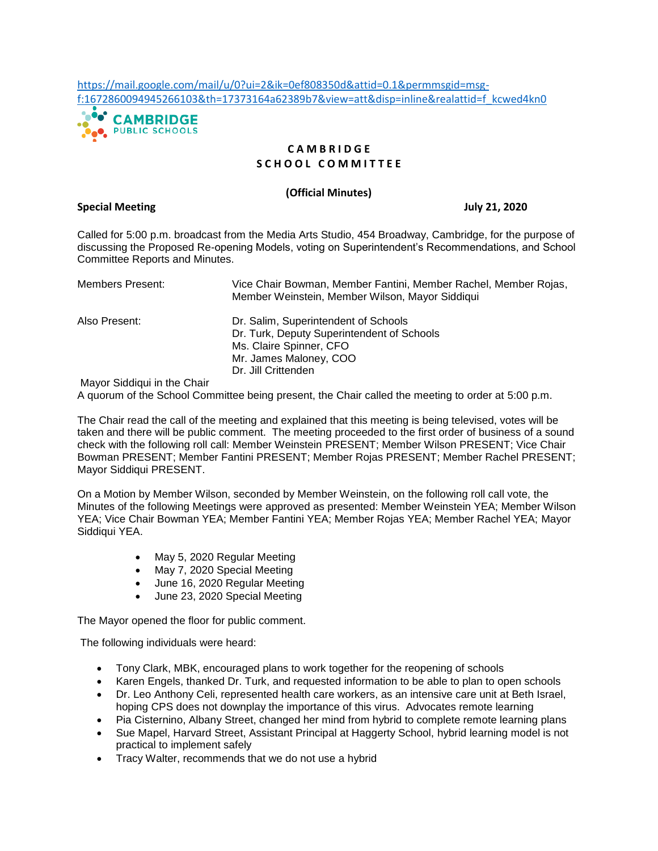[https://mail.google.com/mail/u/0?ui=2&ik=0ef808350d&attid=0.1&permmsgid=msg](https://mail.google.com/mail/u/0?ui=2&ik=0ef808350d&attid=0.1&permmsgid=msg-f:1672860094945266103&th=17373164a62389b7&view=att&disp=inline&realattid=f_kcwed4kn0)[f:1672860094945266103&th=17373164a62389b7&view=att&disp=inline&realattid=f\\_kcwed4kn0](https://mail.google.com/mail/u/0?ui=2&ik=0ef808350d&attid=0.1&permmsgid=msg-f:1672860094945266103&th=17373164a62389b7&view=att&disp=inline&realattid=f_kcwed4kn0)



# **C A M B R I D G E S C H O O L C O M M I T T E E**

## **(Official Minutes)**

**Special Meeting July 21, 2020**

Called for 5:00 p.m. broadcast from the Media Arts Studio, 454 Broadway, Cambridge, for the purpose of discussing the Proposed Re-opening Models, voting on Superintendent's Recommendations, and School Committee Reports and Minutes.

| Members Present:                                                              | Vice Chair Bowman, Member Fantini, Member Rachel, Member Rojas,<br>Member Weinstein, Member Wilson, Mayor Siddiqui                                             |
|-------------------------------------------------------------------------------|----------------------------------------------------------------------------------------------------------------------------------------------------------------|
| Also Present:                                                                 | Dr. Salim, Superintendent of Schools<br>Dr. Turk, Deputy Superintendent of Schools<br>Ms. Claire Spinner, CFO<br>Mr. James Maloney, COO<br>Dr. Jill Crittenden |
| $\mathbf{a}$ $\mathbf{a}$ $\mathbf{b}$ $\mathbf{c}$ $\mathbf{d}$ $\mathbf{c}$ |                                                                                                                                                                |

Mayor Siddiqui in the Chair

A quorum of the School Committee being present, the Chair called the meeting to order at 5:00 p.m.

The Chair read the call of the meeting and explained that this meeting is being televised, votes will be taken and there will be public comment. The meeting proceeded to the first order of business of a sound check with the following roll call: Member Weinstein PRESENT; Member Wilson PRESENT; Vice Chair Bowman PRESENT; Member Fantini PRESENT; Member Rojas PRESENT; Member Rachel PRESENT; Mayor Siddiqui PRESENT.

On a Motion by Member Wilson, seconded by Member Weinstein, on the following roll call vote, the Minutes of the following Meetings were approved as presented: Member Weinstein YEA; Member Wilson YEA; Vice Chair Bowman YEA; Member Fantini YEA; Member Rojas YEA; Member Rachel YEA; Mayor Siddiqui YEA.

- May 5, 2020 Regular Meeting
- May 7, 2020 Special Meeting
- June 16, 2020 Regular Meeting
- June 23, 2020 Special Meeting

The Mayor opened the floor for public comment.

The following individuals were heard:

- Tony Clark, MBK, encouraged plans to work together for the reopening of schools
- Karen Engels, thanked Dr. Turk, and requested information to be able to plan to open schools
- Dr. Leo Anthony Celi, represented health care workers, as an intensive care unit at Beth Israel, hoping CPS does not downplay the importance of this virus. Advocates remote learning
- Pia Cisternino, Albany Street, changed her mind from hybrid to complete remote learning plans
- Sue Mapel, Harvard Street, Assistant Principal at Haggerty School, hybrid learning model is not practical to implement safely
- Tracy Walter, recommends that we do not use a hybrid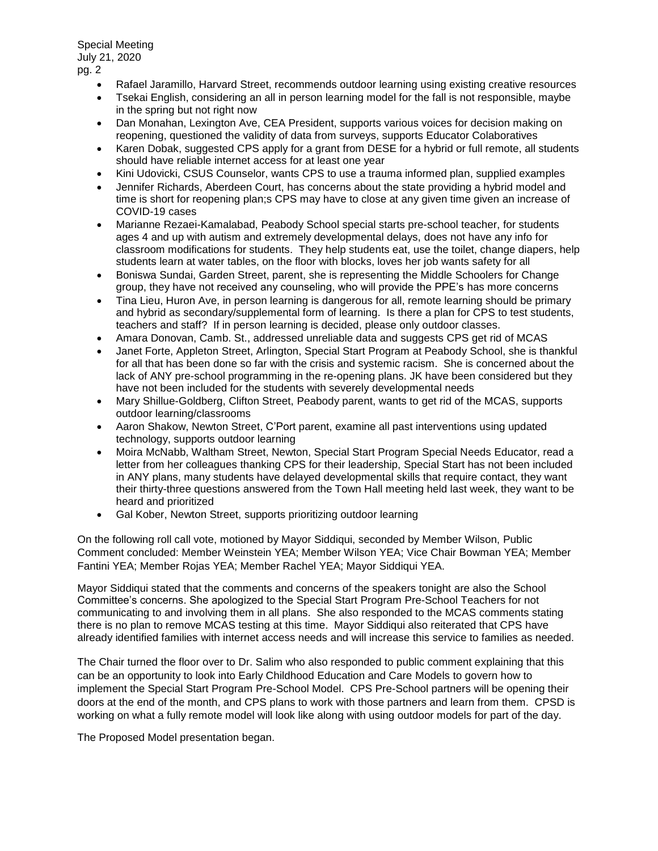- Rafael Jaramillo, Harvard Street, recommends outdoor learning using existing creative resources
- Tsekai English, considering an all in person learning model for the fall is not responsible, maybe in the spring but not right now
- Dan Monahan, Lexington Ave, CEA President, supports various voices for decision making on reopening, questioned the validity of data from surveys, supports Educator Colaboratives
- Karen Dobak, suggested CPS apply for a grant from DESE for a hybrid or full remote, all students should have reliable internet access for at least one year
- Kini Udovicki, CSUS Counselor, wants CPS to use a trauma informed plan, supplied examples
- Jennifer Richards, Aberdeen Court, has concerns about the state providing a hybrid model and time is short for reopening plan;s CPS may have to close at any given time given an increase of COVID-19 cases
- Marianne Rezaei-Kamalabad, Peabody School special starts pre-school teacher, for students ages 4 and up with autism and extremely developmental delays, does not have any info for classroom modifications for students. They help students eat, use the toilet, change diapers, help students learn at water tables, on the floor with blocks, loves her job wants safety for all
- Boniswa Sundai, Garden Street, parent, she is representing the Middle Schoolers for Change group, they have not received any counseling, who will provide the PPE's has more concerns
- Tina Lieu, Huron Ave, in person learning is dangerous for all, remote learning should be primary and hybrid as secondary/supplemental form of learning. Is there a plan for CPS to test students, teachers and staff? If in person learning is decided, please only outdoor classes.
- Amara Donovan, Camb. St., addressed unreliable data and suggests CPS get rid of MCAS
- Janet Forte, Appleton Street, Arlington, Special Start Program at Peabody School, she is thankful for all that has been done so far with the crisis and systemic racism. She is concerned about the lack of ANY pre-school programming in the re-opening plans. JK have been considered but they have not been included for the students with severely developmental needs
- Mary Shillue-Goldberg, Clifton Street, Peabody parent, wants to get rid of the MCAS, supports outdoor learning/classrooms
- Aaron Shakow, Newton Street, C'Port parent, examine all past interventions using updated technology, supports outdoor learning
- Moira McNabb, Waltham Street, Newton, Special Start Program Special Needs Educator, read a letter from her colleagues thanking CPS for their leadership, Special Start has not been included in ANY plans, many students have delayed developmental skills that require contact, they want their thirty-three questions answered from the Town Hall meeting held last week, they want to be heard and prioritized
- Gal Kober, Newton Street, supports prioritizing outdoor learning

On the following roll call vote, motioned by Mayor Siddiqui, seconded by Member Wilson, Public Comment concluded: Member Weinstein YEA; Member Wilson YEA; Vice Chair Bowman YEA; Member Fantini YEA; Member Rojas YEA; Member Rachel YEA; Mayor Siddiqui YEA.

Mayor Siddiqui stated that the comments and concerns of the speakers tonight are also the School Committee's concerns. She apologized to the Special Start Program Pre-School Teachers for not communicating to and involving them in all plans. She also responded to the MCAS comments stating there is no plan to remove MCAS testing at this time. Mayor Siddiqui also reiterated that CPS have already identified families with internet access needs and will increase this service to families as needed.

The Chair turned the floor over to Dr. Salim who also responded to public comment explaining that this can be an opportunity to look into Early Childhood Education and Care Models to govern how to implement the Special Start Program Pre-School Model. CPS Pre-School partners will be opening their doors at the end of the month, and CPS plans to work with those partners and learn from them. CPSD is working on what a fully remote model will look like along with using outdoor models for part of the day.

The Proposed Model presentation began.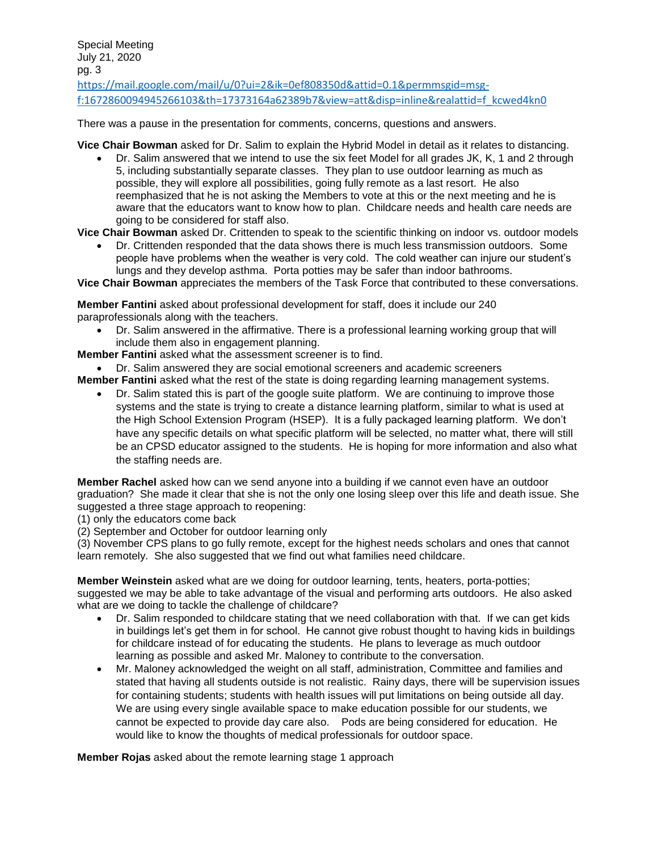Special Meeting July 21, 2020 pg. 3 [https://mail.google.com/mail/u/0?ui=2&ik=0ef808350d&attid=0.1&permmsgid=msg](https://mail.google.com/mail/u/0?ui=2&ik=0ef808350d&attid=0.1&permmsgid=msg-f:1672860094945266103&th=17373164a62389b7&view=att&disp=inline&realattid=f_kcwed4kn0)[f:1672860094945266103&th=17373164a62389b7&view=att&disp=inline&realattid=f\\_kcwed4kn0](https://mail.google.com/mail/u/0?ui=2&ik=0ef808350d&attid=0.1&permmsgid=msg-f:1672860094945266103&th=17373164a62389b7&view=att&disp=inline&realattid=f_kcwed4kn0)

There was a pause in the presentation for comments, concerns, questions and answers.

**Vice Chair Bowman** asked for Dr. Salim to explain the Hybrid Model in detail as it relates to distancing.

• Dr. Salim answered that we intend to use the six feet Model for all grades JK, K, 1 and 2 through 5, including substantially separate classes. They plan to use outdoor learning as much as possible, they will explore all possibilities, going fully remote as a last resort. He also reemphasized that he is not asking the Members to vote at this or the next meeting and he is aware that the educators want to know how to plan. Childcare needs and health care needs are going to be considered for staff also.

**Vice Chair Bowman** asked Dr. Crittenden to speak to the scientific thinking on indoor vs. outdoor models

• Dr. Crittenden responded that the data shows there is much less transmission outdoors. Some people have problems when the weather is very cold. The cold weather can injure our student's lungs and they develop asthma. Porta potties may be safer than indoor bathrooms.

**Vice Chair Bowman** appreciates the members of the Task Force that contributed to these conversations.

**Member Fantini** asked about professional development for staff, does it include our 240 paraprofessionals along with the teachers.

- Dr. Salim answered in the affirmative. There is a professional learning working group that will include them also in engagement planning.
- **Member Fantini** asked what the assessment screener is to find.

• Dr. Salim answered they are social emotional screeners and academic screeners

**Member Fantini** asked what the rest of the state is doing regarding learning management systems.

• Dr. Salim stated this is part of the google suite platform. We are continuing to improve those systems and the state is trying to create a distance learning platform, similar to what is used at the High School Extension Program (HSEP). It is a fully packaged learning platform. We don't have any specific details on what specific platform will be selected, no matter what, there will still be an CPSD educator assigned to the students. He is hoping for more information and also what the staffing needs are.

**Member Rachel** asked how can we send anyone into a building if we cannot even have an outdoor graduation? She made it clear that she is not the only one losing sleep over this life and death issue. She suggested a three stage approach to reopening:

(1) only the educators come back

(2) September and October for outdoor learning only

(3) November CPS plans to go fully remote, except for the highest needs scholars and ones that cannot learn remotely. She also suggested that we find out what families need childcare.

**Member Weinstein** asked what are we doing for outdoor learning, tents, heaters, porta-potties; suggested we may be able to take advantage of the visual and performing arts outdoors. He also asked what are we doing to tackle the challenge of childcare?

- Dr. Salim responded to childcare stating that we need collaboration with that. If we can get kids in buildings let's get them in for school. He cannot give robust thought to having kids in buildings for childcare instead of for educating the students. He plans to leverage as much outdoor learning as possible and asked Mr. Maloney to contribute to the conversation.
- Mr. Maloney acknowledged the weight on all staff, administration, Committee and families and stated that having all students outside is not realistic. Rainy days, there will be supervision issues for containing students; students with health issues will put limitations on being outside all day. We are using every single available space to make education possible for our students, we cannot be expected to provide day care also. Pods are being considered for education. He would like to know the thoughts of medical professionals for outdoor space.

**Member Rojas** asked about the remote learning stage 1 approach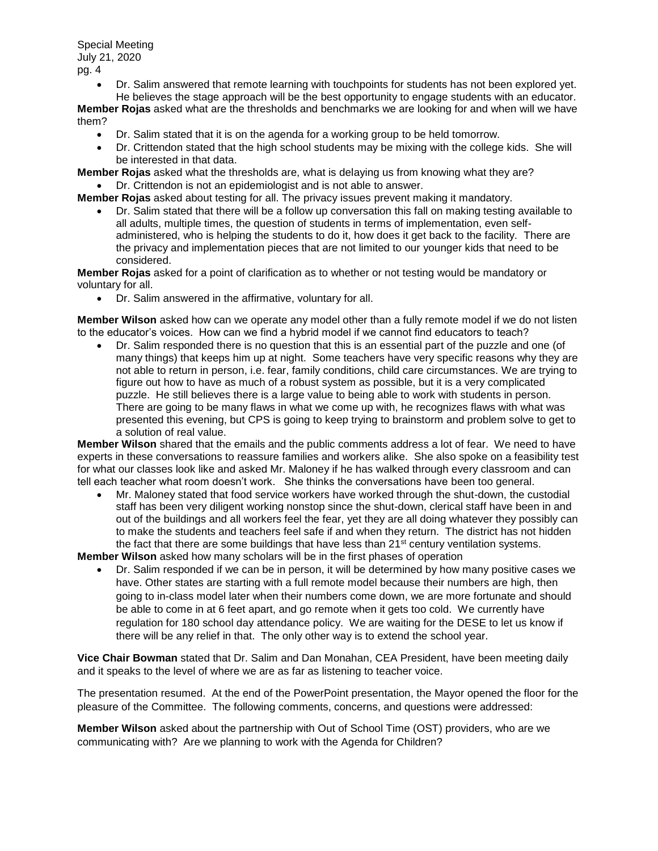> • Dr. Salim answered that remote learning with touchpoints for students has not been explored yet. He believes the stage approach will be the best opportunity to engage students with an educator.

**Member Rojas** asked what are the thresholds and benchmarks we are looking for and when will we have them?

- Dr. Salim stated that it is on the agenda for a working group to be held tomorrow.
- Dr. Crittendon stated that the high school students may be mixing with the college kids. She will be interested in that data.

**Member Rojas** asked what the thresholds are, what is delaying us from knowing what they are?

• Dr. Crittendon is not an epidemiologist and is not able to answer.

**Member Rojas** asked about testing for all. The privacy issues prevent making it mandatory.

• Dr. Salim stated that there will be a follow up conversation this fall on making testing available to all adults, multiple times, the question of students in terms of implementation, even selfadministered, who is helping the students to do it, how does it get back to the facility. There are the privacy and implementation pieces that are not limited to our younger kids that need to be considered.

**Member Rojas** asked for a point of clarification as to whether or not testing would be mandatory or voluntary for all.

• Dr. Salim answered in the affirmative, voluntary for all.

**Member Wilson** asked how can we operate any model other than a fully remote model if we do not listen to the educator's voices. How can we find a hybrid model if we cannot find educators to teach?

• Dr. Salim responded there is no question that this is an essential part of the puzzle and one (of many things) that keeps him up at night. Some teachers have very specific reasons why they are not able to return in person, i.e. fear, family conditions, child care circumstances. We are trying to figure out how to have as much of a robust system as possible, but it is a very complicated puzzle. He still believes there is a large value to being able to work with students in person. There are going to be many flaws in what we come up with, he recognizes flaws with what was presented this evening, but CPS is going to keep trying to brainstorm and problem solve to get to a solution of real value.

**Member Wilson** shared that the emails and the public comments address a lot of fear. We need to have experts in these conversations to reassure families and workers alike. She also spoke on a feasibility test for what our classes look like and asked Mr. Maloney if he has walked through every classroom and can tell each teacher what room doesn't work. She thinks the conversations have been too general.

• Mr. Maloney stated that food service workers have worked through the shut-down, the custodial staff has been very diligent working nonstop since the shut-down, clerical staff have been in and out of the buildings and all workers feel the fear, yet they are all doing whatever they possibly can to make the students and teachers feel safe if and when they return. The district has not hidden the fact that there are some buildings that have less than  $21<sup>st</sup>$  century ventilation systems.

**Member Wilson** asked how many scholars will be in the first phases of operation

• Dr. Salim responded if we can be in person, it will be determined by how many positive cases we have. Other states are starting with a full remote model because their numbers are high, then going to in-class model later when their numbers come down, we are more fortunate and should be able to come in at 6 feet apart, and go remote when it gets too cold. We currently have regulation for 180 school day attendance policy. We are waiting for the DESE to let us know if there will be any relief in that. The only other way is to extend the school year.

**Vice Chair Bowman** stated that Dr. Salim and Dan Monahan, CEA President, have been meeting daily and it speaks to the level of where we are as far as listening to teacher voice.

The presentation resumed. At the end of the PowerPoint presentation, the Mayor opened the floor for the pleasure of the Committee. The following comments, concerns, and questions were addressed:

**Member Wilson** asked about the partnership with Out of School Time (OST) providers, who are we communicating with? Are we planning to work with the Agenda for Children?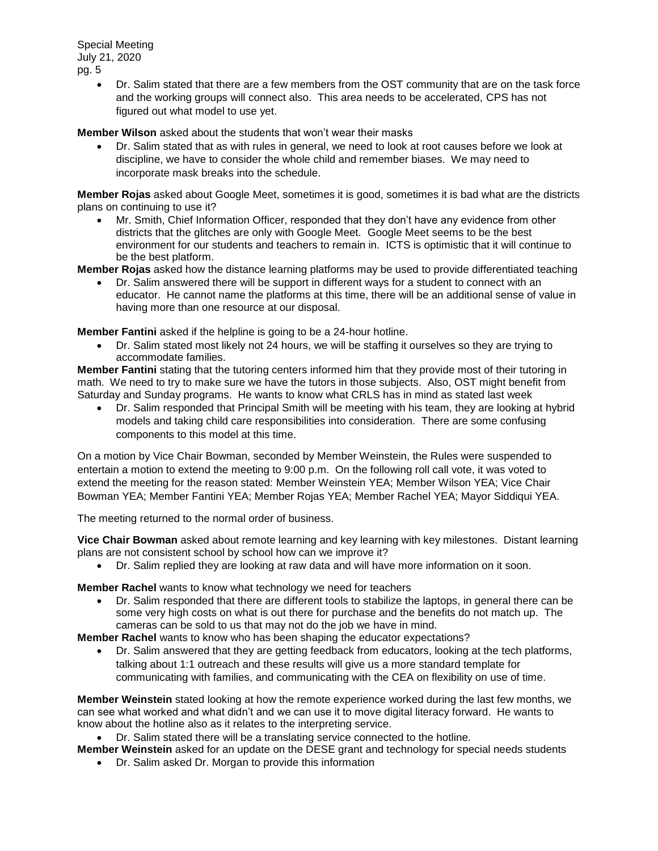> • Dr. Salim stated that there are a few members from the OST community that are on the task force and the working groups will connect also. This area needs to be accelerated, CPS has not figured out what model to use yet.

**Member Wilson** asked about the students that won't wear their masks

• Dr. Salim stated that as with rules in general, we need to look at root causes before we look at discipline, we have to consider the whole child and remember biases. We may need to incorporate mask breaks into the schedule.

**Member Rojas** asked about Google Meet, sometimes it is good, sometimes it is bad what are the districts plans on continuing to use it?

• Mr. Smith, Chief Information Officer, responded that they don't have any evidence from other districts that the glitches are only with Google Meet. Google Meet seems to be the best environment for our students and teachers to remain in. ICTS is optimistic that it will continue to be the best platform.

**Member Rojas** asked how the distance learning platforms may be used to provide differentiated teaching

• Dr. Salim answered there will be support in different ways for a student to connect with an educator. He cannot name the platforms at this time, there will be an additional sense of value in having more than one resource at our disposal.

**Member Fantini** asked if the helpline is going to be a 24-hour hotline.

• Dr. Salim stated most likely not 24 hours, we will be staffing it ourselves so they are trying to accommodate families.

**Member Fantini** stating that the tutoring centers informed him that they provide most of their tutoring in math. We need to try to make sure we have the tutors in those subjects. Also, OST might benefit from Saturday and Sunday programs. He wants to know what CRLS has in mind as stated last week

• Dr. Salim responded that Principal Smith will be meeting with his team, they are looking at hybrid models and taking child care responsibilities into consideration. There are some confusing components to this model at this time.

On a motion by Vice Chair Bowman, seconded by Member Weinstein, the Rules were suspended to entertain a motion to extend the meeting to 9:00 p.m. On the following roll call vote, it was voted to extend the meeting for the reason stated: Member Weinstein YEA; Member Wilson YEA; Vice Chair Bowman YEA; Member Fantini YEA; Member Rojas YEA; Member Rachel YEA; Mayor Siddiqui YEA.

The meeting returned to the normal order of business.

**Vice Chair Bowman** asked about remote learning and key learning with key milestones. Distant learning plans are not consistent school by school how can we improve it?

• Dr. Salim replied they are looking at raw data and will have more information on it soon.

**Member Rachel** wants to know what technology we need for teachers

• Dr. Salim responded that there are different tools to stabilize the laptops, in general there can be some very high costs on what is out there for purchase and the benefits do not match up. The cameras can be sold to us that may not do the job we have in mind.

**Member Rachel** wants to know who has been shaping the educator expectations?

• Dr. Salim answered that they are getting feedback from educators, looking at the tech platforms, talking about 1:1 outreach and these results will give us a more standard template for communicating with families, and communicating with the CEA on flexibility on use of time.

**Member Weinstein** stated looking at how the remote experience worked during the last few months, we can see what worked and what didn't and we can use it to move digital literacy forward. He wants to know about the hotline also as it relates to the interpreting service.

• Dr. Salim stated there will be a translating service connected to the hotline.

**Member Weinstein** asked for an update on the DESE grant and technology for special needs students

• Dr. Salim asked Dr. Morgan to provide this information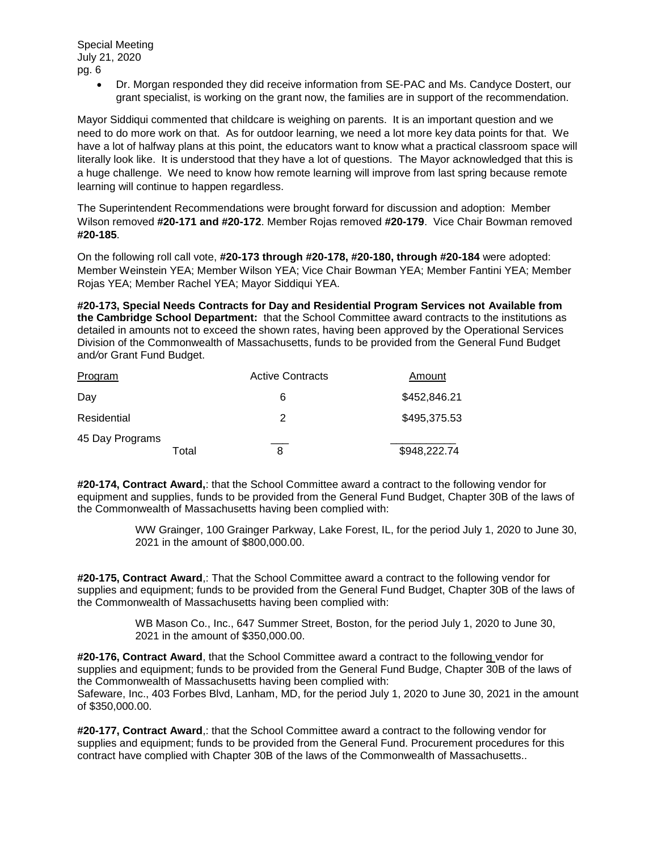> • Dr. Morgan responded they did receive information from SE-PAC and Ms. Candyce Dostert, our grant specialist, is working on the grant now, the families are in support of the recommendation.

Mayor Siddiqui commented that childcare is weighing on parents. It is an important question and we need to do more work on that. As for outdoor learning, we need a lot more key data points for that. We have a lot of halfway plans at this point, the educators want to know what a practical classroom space will literally look like. It is understood that they have a lot of questions. The Mayor acknowledged that this is a huge challenge. We need to know how remote learning will improve from last spring because remote learning will continue to happen regardless.

The Superintendent Recommendations were brought forward for discussion and adoption: Member Wilson removed **#20-171 and #20-172**. Member Rojas removed **#20-179**. Vice Chair Bowman removed **#20-185**.

On the following roll call vote, **#20-173 through #20-178, #20-180, through #20-184** were adopted: Member Weinstein YEA; Member Wilson YEA; Vice Chair Bowman YEA; Member Fantini YEA; Member Rojas YEA; Member Rachel YEA; Mayor Siddiqui YEA.

**#20-173, Special Needs Contracts for Day and Residential Program Services not Available from the Cambridge School Department:** that the School Committee award contracts to the institutions as detailed in amounts not to exceed the shown rates, having been approved by the Operational Services Division of the Commonwealth of Massachusetts, funds to be provided from the General Fund Budget and*/*or Grant Fund Budget.

| Program                  | <b>Active Contracts</b> | Amount       |
|--------------------------|-------------------------|--------------|
| Day                      | 6                       | \$452,846.21 |
| Residential              | 2                       | \$495,375.53 |
| 45 Day Programs<br>Total | 8                       | \$948,222.74 |

**#20-174, Contract Award,**: that the School Committee award a contract to the following vendor for equipment and supplies, funds to be provided from the General Fund Budget, Chapter 30B of the laws of the Commonwealth of Massachusetts having been complied with:

> WW Grainger, 100 Grainger Parkway, Lake Forest, IL, for the period July 1, 2020 to June 30, 2021 in the amount of \$800,000.00.

**#20-175, Contract Award**,: That the School Committee award a contract to the following vendor for supplies and equipment; funds to be provided from the General Fund Budget, Chapter 30B of the laws of the Commonwealth of Massachusetts having been complied with:

> WB Mason Co., Inc., 647 Summer Street, Boston, for the period July 1, 2020 to June 30, 2021 in the amount of \$350,000.00.

**#20-176, Contract Award**, that the School Committee award a contract to the following vendor for supplies and equipment; funds to be provided from the General Fund Budge, Chapter 30B of the laws of the Commonwealth of Massachusetts having been complied with:

Safeware, Inc., 403 Forbes Blvd, Lanham, MD, for the period July 1, 2020 to June 30, 2021 in the amount of \$350,000.00.

**#20-177, Contract Award**,: that the School Committee award a contract to the following vendor for supplies and equipment; funds to be provided from the General Fund. Procurement procedures for this contract have complied with Chapter 30B of the laws of the Commonwealth of Massachusetts..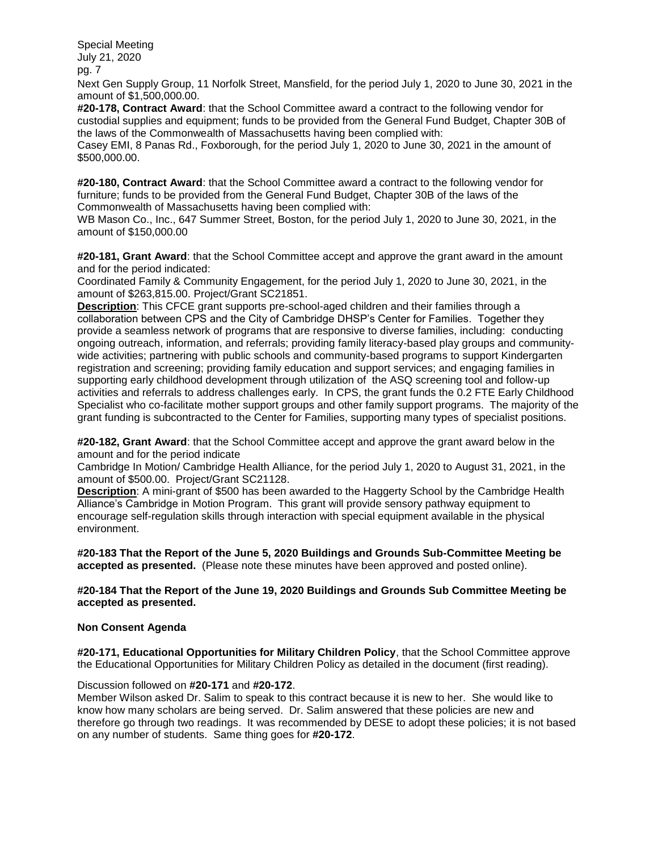Next Gen Supply Group, 11 Norfolk Street, Mansfield, for the period July 1, 2020 to June 30, 2021 in the amount of \$1,500,000.00.

**#20-178, Contract Award**: that the School Committee award a contract to the following vendor for custodial supplies and equipment; funds to be provided from the General Fund Budget, Chapter 30B of the laws of the Commonwealth of Massachusetts having been complied with:

Casey EMI, 8 Panas Rd., Foxborough, for the period July 1, 2020 to June 30, 2021 in the amount of \$500,000.00.

**#20-180, Contract Award**: that the School Committee award a contract to the following vendor for furniture; funds to be provided from the General Fund Budget, Chapter 30B of the laws of the Commonwealth of Massachusetts having been complied with:

WB Mason Co., Inc., 647 Summer Street, Boston, for the period July 1, 2020 to June 30, 2021, in the amount of \$150,000.00

**#20-181, Grant Award**: that the School Committee accept and approve the grant award in the amount and for the period indicated:

Coordinated Family & Community Engagement, for the period July 1, 2020 to June 30, 2021, in the amount of \$263,815.00. Project/Grant SC21851.

**Description**: This CFCE grant supports pre-school-aged children and their families through a collaboration between CPS and the City of Cambridge DHSP's Center for Families. Together they provide a seamless network of programs that are responsive to diverse families, including: conducting ongoing outreach, information, and referrals; providing family literacy-based play groups and communitywide activities; partnering with public schools and community-based programs to support Kindergarten registration and screening; providing family education and support services; and engaging families in supporting early childhood development through utilization of the ASQ screening tool and follow-up activities and referrals to address challenges early. In CPS, the grant funds the 0.2 FTE Early Childhood Specialist who co-facilitate mother support groups and other family support programs. The majority of the grant funding is subcontracted to the Center for Families, supporting many types of specialist positions.

**#20-182, Grant Award**: that the School Committee accept and approve the grant award below in the amount and for the period indicate

Cambridge In Motion/ Cambridge Health Alliance, for the period July 1, 2020 to August 31, 2021, in the amount of \$500.00. Project/Grant SC21128.

**Description**: A mini-grant of \$500 has been awarded to the Haggerty School by the Cambridge Health Alliance's Cambridge in Motion Program. This grant will provide sensory pathway equipment to encourage self-regulation skills through interaction with special equipment available in the physical environment.

**#20-183 That the Report of the June 5, 2020 Buildings and Grounds Sub-Committee Meeting be accepted as presented.** (Please note these minutes have been approved and posted online).

### **#20-184 That the Report of the June 19, 2020 Buildings and Grounds Sub Committee Meeting be accepted as presented.**

### **Non Consent Agenda**

**#20-171, Educational Opportunities for Military Children Policy**, that the School Committee approve the Educational Opportunities for Military Children Policy as detailed in the document (first reading).

### Discussion followed on **#20-171** and **#20-172**.

Member Wilson asked Dr. Salim to speak to this contract because it is new to her. She would like to know how many scholars are being served. Dr. Salim answered that these policies are new and therefore go through two readings. It was recommended by DESE to adopt these policies; it is not based on any number of students. Same thing goes for **#20-172**.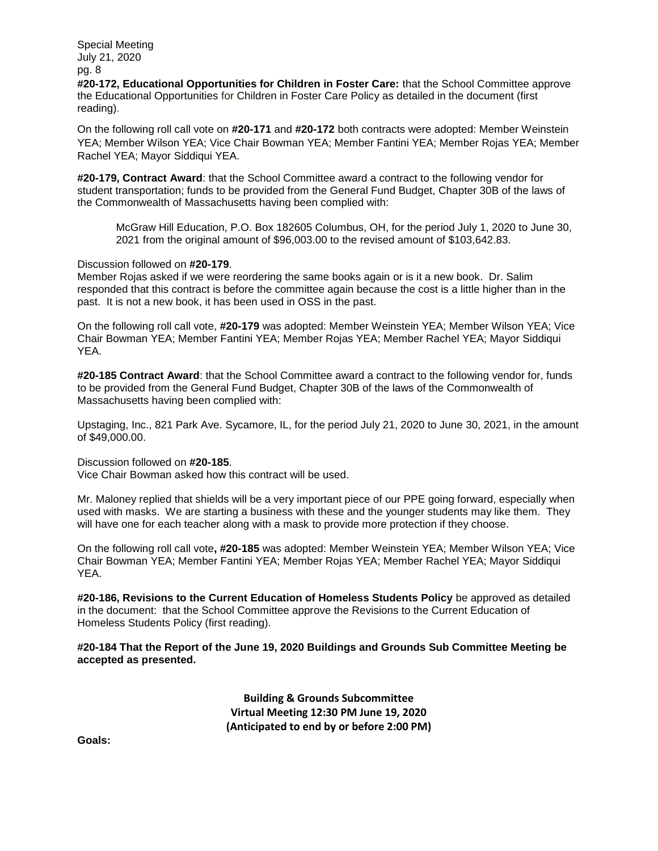**#20-172, Educational Opportunities for Children in Foster Care:** that the School Committee approve the Educational Opportunities for Children in Foster Care Policy as detailed in the document (first reading).

On the following roll call vote on **#20-171** and **#20-172** both contracts were adopted: Member Weinstein YEA; Member Wilson YEA; Vice Chair Bowman YEA; Member Fantini YEA; Member Rojas YEA; Member Rachel YEA; Mayor Siddiqui YEA.

**#20-179, Contract Award**: that the School Committee award a contract to the following vendor for student transportation; funds to be provided from the General Fund Budget, Chapter 30B of the laws of the Commonwealth of Massachusetts having been complied with:

McGraw Hill Education, P.O. Box 182605 Columbus, OH, for the period July 1, 2020 to June 30, 2021 from the original amount of \$96,003.00 to the revised amount of \$103,642.83.

### Discussion followed on **#20-179**.

Member Rojas asked if we were reordering the same books again or is it a new book. Dr. Salim responded that this contract is before the committee again because the cost is a little higher than in the past. It is not a new book, it has been used in OSS in the past.

On the following roll call vote, **#20-179** was adopted: Member Weinstein YEA; Member Wilson YEA; Vice Chair Bowman YEA; Member Fantini YEA; Member Rojas YEA; Member Rachel YEA; Mayor Siddiqui YEA.

**#20-185 Contract Award**: that the School Committee award a contract to the following vendor for, funds to be provided from the General Fund Budget, Chapter 30B of the laws of the Commonwealth of Massachusetts having been complied with:

Upstaging, Inc., 821 Park Ave. Sycamore, IL, for the period July 21, 2020 to June 30, 2021, in the amount of \$49,000.00.

### Discussion followed on **#20-185**.

Vice Chair Bowman asked how this contract will be used.

Mr. Maloney replied that shields will be a very important piece of our PPE going forward, especially when used with masks. We are starting a business with these and the younger students may like them. They will have one for each teacher along with a mask to provide more protection if they choose.

On the following roll call vote**, #20-185** was adopted: Member Weinstein YEA; Member Wilson YEA; Vice Chair Bowman YEA; Member Fantini YEA; Member Rojas YEA; Member Rachel YEA; Mayor Siddiqui YEA.

**#20-186, Revisions to the Current Education of Homeless Students Policy** be approved as detailed in the document: that the School Committee approve the Revisions to the Current Education of Homeless Students Policy (first reading).

### **#20-184 That the Report of the June 19, 2020 Buildings and Grounds Sub Committee Meeting be accepted as presented.**

**Building & Grounds Subcommittee Virtual Meeting 12:30 PM June 19, 2020 (Anticipated to end by or before 2:00 PM)**

**Goals:**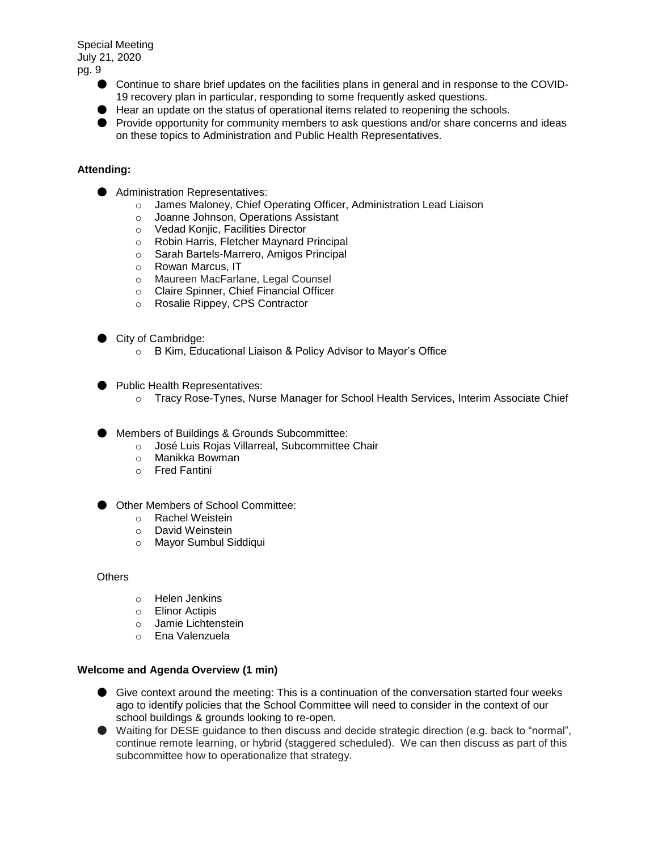- Continue to share brief updates on the facilities plans in general and in response to the COVID-19 recovery plan in particular, responding to some frequently asked questions.
- Hear an update on the status of operational items related to reopening the schools.
- Provide opportunity for community members to ask questions and/or share concerns and ideas on these topics to Administration and Public Health Representatives.

# **Attending:**

- Administration Representatives:
	- o James Maloney, Chief Operating Officer, Administration Lead Liaison
	- o Joanne Johnson, Operations Assistant
	- o Vedad Konjic, Facilities Director
	- o Robin Harris, Fletcher Maynard Principal<br>○ Sarah Bartels-Marrero, Amigos Principal
	- o Sarah Bartels-Marrero, Amigos Principal<br>○ Rowan Marcus, IT
	- Rowan Marcus, IT
	- o Maureen MacFarlane, Legal Counsel
	- o Claire Spinner, Chief Financial Officer
	- o Rosalie Rippey, CPS Contractor
- City of Cambridge:
	- o B Kim, Educational Liaison & Policy Advisor to Mayor's Office
- Public Health Representatives:
	- o Tracy Rose-Tynes, Nurse Manager for School Health Services, Interim Associate Chief
- Members of Buildings & Grounds Subcommittee:
	- o José Luis Rojas Villarreal, Subcommittee Chair
	- o Manikka Bowman
	- o Fred Fantini
- Other Members of School Committee:
	- o Rachel Weistein
	- o David Weinstein
	- o Mayor Sumbul Siddiqui

**Others** 

- o Helen Jenkins
- o Elinor Actipis
- o Jamie Lichtenstein
- o Ena Valenzuela

# **Welcome and Agenda Overview (1 min)**

- Give context around the meeting: This is a continuation of the conversation started four weeks ago to identify policies that the School Committee will need to consider in the context of our school buildings & grounds looking to re-open.
- Waiting for DESE quidance to then discuss and decide strategic direction (e.g. back to "normal", continue remote learning, or hybrid (staggered scheduled). We can then discuss as part of this subcommittee how to operationalize that strategy.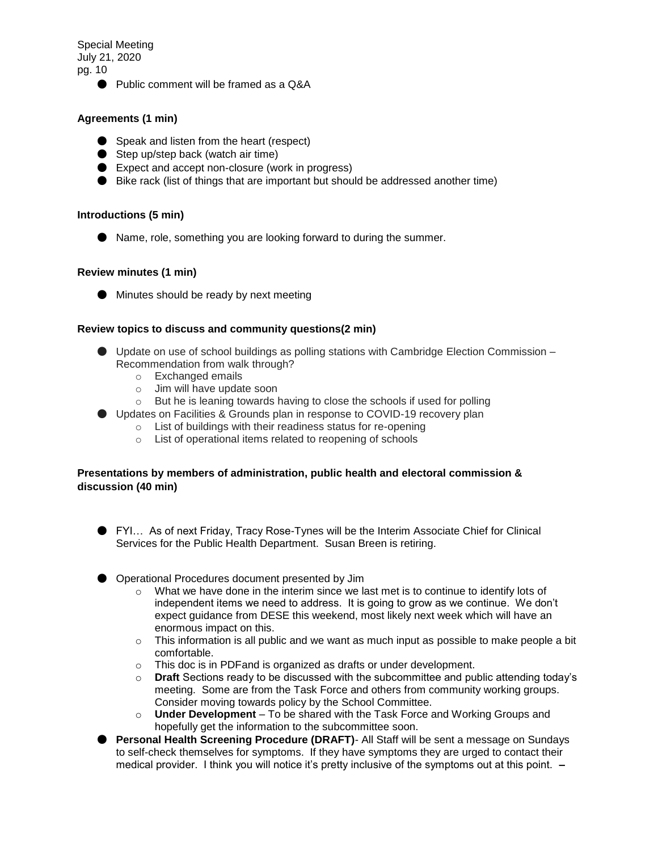● Public comment will be framed as a Q&A

# **Agreements (1 min)**

- Speak and listen from the heart (respect)
- Step up/step back (watch air time)
- Expect and accept non-closure (work in progress)
- Bike rack (list of things that are important but should be addressed another time)

### **Introductions (5 min)**

● Name, role, something you are looking forward to during the summer.

## **Review minutes (1 min)**

● Minutes should be ready by next meeting

## **Review topics to discuss and community questions(2 min)**

- Update on use of school buildings as polling stations with Cambridge Election Commission Recommendation from walk through?
	- o Exchanged emails
	- o Jim will have update soon
	- o But he is leaning towards having to close the schools if used for polling
- Updates on Facilities & Grounds plan in response to COVID-19 recovery plan
	- o List of buildings with their readiness status for re-opening
	- o List of operational items related to reopening of schools

## **Presentations by members of administration, public health and electoral commission & discussion (40 min)**

- FYI… As of next Friday, Tracy Rose-Tynes will be the Interim Associate Chief for Clinical Services for the Public Health Department. Susan Breen is retiring.
- Operational Procedures document presented by Jim
	- o What we have done in the interim since we last met is to continue to identify lots of independent items we need to address. It is going to grow as we continue. We don't expect guidance from DESE this weekend, most likely next week which will have an enormous impact on this.
	- $\circ$  This information is all public and we want as much input as possible to make people a bit comfortable.
	- o This doc is in PDFand is organized as drafts or under development.
	- o **Draft** Sections ready to be discussed with the subcommittee and public attending today's meeting. Some are from the Task Force and others from community working groups. Consider moving towards policy by the School Committee.
	- o **Under Development** To be shared with the Task Force and Working Groups and hopefully get the information to the subcommittee soon.
- **Personal Health Screening Procedure (DRAFT)** All Staff will be sent a message on Sundays to self-check themselves for symptoms. If they have symptoms they are urged to contact their medical provider. I think you will notice it's pretty inclusive of the symptoms out at this point. **–**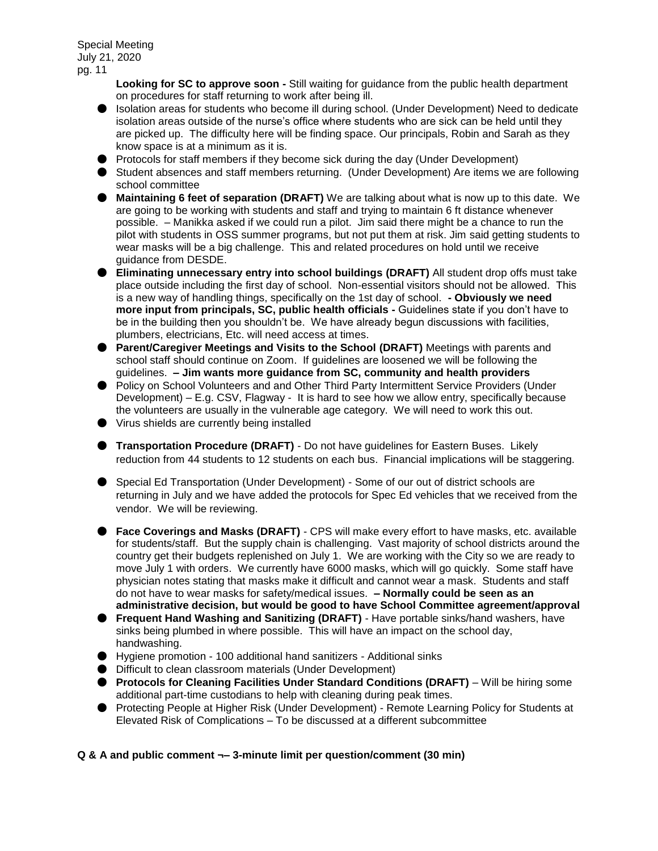> **Looking for SC to approve soon -** Still waiting for guidance from the public health department on procedures for staff returning to work after being ill.

- Isolation areas for students who become ill during school. (Under Development) Need to dedicate isolation areas outside of the nurse's office where students who are sick can be held until they are picked up. The difficulty here will be finding space. Our principals, Robin and Sarah as they know space is at a minimum as it is.
- Protocols for staff members if they become sick during the day (Under Development)
- Student absences and staff members returning. (Under Development) Are items we are following school committee
- **Maintaining 6 feet of separation (DRAFT)** We are talking about what is now up to this date. We are going to be working with students and staff and trying to maintain 6 ft distance whenever possible. – Manikka asked if we could run a pilot. Jim said there might be a chance to run the pilot with students in OSS summer programs, but not put them at risk. Jim said getting students to wear masks will be a big challenge. This and related procedures on hold until we receive guidance from DESDE.
- **Eliminating unnecessary entry into school buildings (DRAFT)** All student drop offs must take place outside including the first day of school. Non-essential visitors should not be allowed. This is a new way of handling things, specifically on the 1st day of school. **- Obviously we need more input from principals, SC, public health officials -** Guidelines state if you don't have to be in the building then you shouldn't be. We have already begun discussions with facilities, plumbers, electricians, Etc. will need access at times.
- **Parent/Caregiver Meetings and Visits to the School (DRAFT)** Meetings with parents and school staff should continue on Zoom. If guidelines are loosened we will be following the guidelines. **– Jim wants more guidance from SC, community and health providers**
- Policy on School Volunteers and and Other Third Party Intermittent Service Providers (Under Development) – E.g. CSV, Flagway - It is hard to see how we allow entry, specifically because the volunteers are usually in the vulnerable age category. We will need to work this out.
- Virus shields are currently being installed
- **Transportation Procedure (DRAFT)** Do not have guidelines for Eastern Buses. Likely reduction from 44 students to 12 students on each bus. Financial implications will be staggering.
- Special Ed Transportation (Under Development) Some of our out of district schools are returning in July and we have added the protocols for Spec Ed vehicles that we received from the vendor. We will be reviewing.
- **Face Coverings and Masks (DRAFT)** CPS will make every effort to have masks, etc. available for students/staff. But the supply chain is challenging. Vast majority of school districts around the country get their budgets replenished on July 1. We are working with the City so we are ready to move July 1 with orders. We currently have 6000 masks, which will go quickly. Some staff have physician notes stating that masks make it difficult and cannot wear a mask. Students and staff do not have to wear masks for safety/medical issues. **– Normally could be seen as an administrative decision, but would be good to have School Committee agreement/approval**
- **Frequent Hand Washing and Sanitizing (DRAFT)** Have portable sinks/hand washers, have sinks being plumbed in where possible. This will have an impact on the school day, handwashing.
- Hygiene promotion 100 additional hand sanitizers Additional sinks
- Difficult to clean classroom materials (Under Development)
- **Protocols for Cleaning Facilities Under Standard Conditions (DRAFT)** Will be hiring some additional part-time custodians to help with cleaning during peak times.
- Protecting People at Higher Risk (Under Development) Remote Learning Policy for Students at Elevated Risk of Complications – To be discussed at a different subcommittee

### **Q & A and public comment ¬– 3-minute limit per question/comment (30 min)**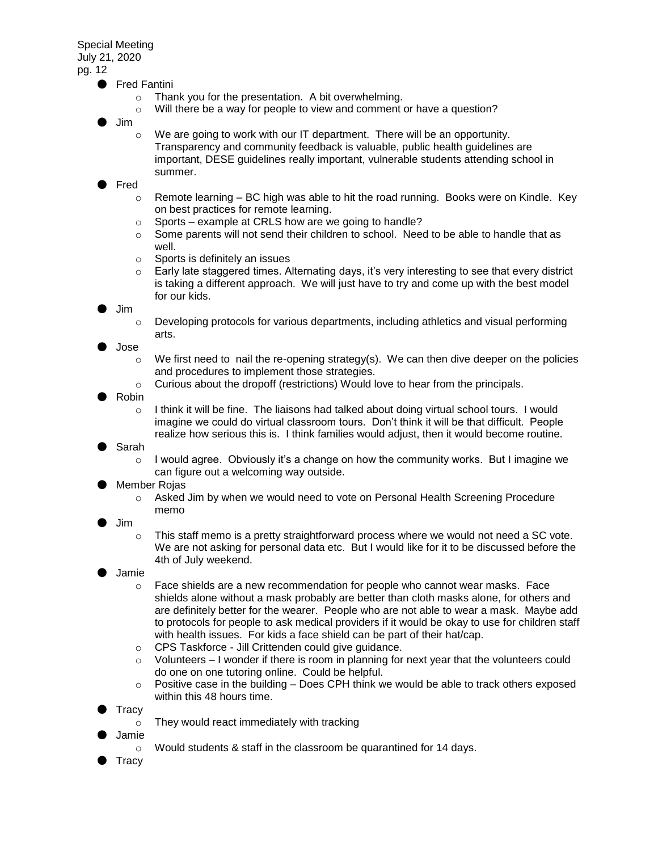### ● Fred Fantini

- o Thank you for the presentation. A bit overwhelming.
- o Will there be a way for people to view and comment or have a question?
- Jim
	- $\circ$  We are going to work with our IT department. There will be an opportunity. Transparency and community feedback is valuable, public health guidelines are important, DESE guidelines really important, vulnerable students attending school in summer.
- **Fred** 
	- $\circ$  Remote learning BC high was able to hit the road running. Books were on Kindle. Key on best practices for remote learning.
	- $\circ$  Sports example at CRLS how are we going to handle?
	- $\circ$  Some parents will not send their children to school. Need to be able to handle that as well.
	- o Sports is definitely an issues
	- $\circ$  Early late staggered times. Alternating days, it's very interesting to see that every district is taking a different approach. We will just have to try and come up with the best model for our kids.

● Jim

o Developing protocols for various departments, including athletics and visual performing arts.

● Jose

- $\circ$  We first need to nail the re-opening strategy(s). We can then dive deeper on the policies and procedures to implement those strategies.
- o Curious about the dropoff (restrictions) Would love to hear from the principals.
- **Robin** 
	- $\circ$  I think it will be fine. The liaisons had talked about doing virtual school tours. I would imagine we could do virtual classroom tours. Don't think it will be that difficult. People realize how serious this is. I think families would adjust, then it would become routine.
- Sarah
	- $\circ$  I would agree. Obviously it's a change on how the community works. But I imagine we can figure out a welcoming way outside.
- Member Rojas
	- o Asked Jim by when we would need to vote on Personal Health Screening Procedure memo
- Jim
	- $\circ$  This staff memo is a pretty straightforward process where we would not need a SC vote. We are not asking for personal data etc. But I would like for it to be discussed before the 4th of July weekend.
- **Jamie** 
	- o Face shields are a new recommendation for people who cannot wear masks. Face shields alone without a mask probably are better than cloth masks alone, for others and are definitely better for the wearer. People who are not able to wear a mask. Maybe add to protocols for people to ask medical providers if it would be okay to use for children staff with health issues. For kids a face shield can be part of their hat/cap.
	- o CPS Taskforce Jill Crittenden could give guidance.
	- $\circ$  Volunteers I wonder if there is room in planning for next year that the volunteers could do one on one tutoring online. Could be helpful.
	- $\circ$  Positive case in the building Does CPH think we would be able to track others exposed within this 48 hours time.
- **Tracy** 
	- o They would react immediately with tracking
- Jamie
	- o Would students & staff in the classroom be quarantined for 14 days.
- Tracy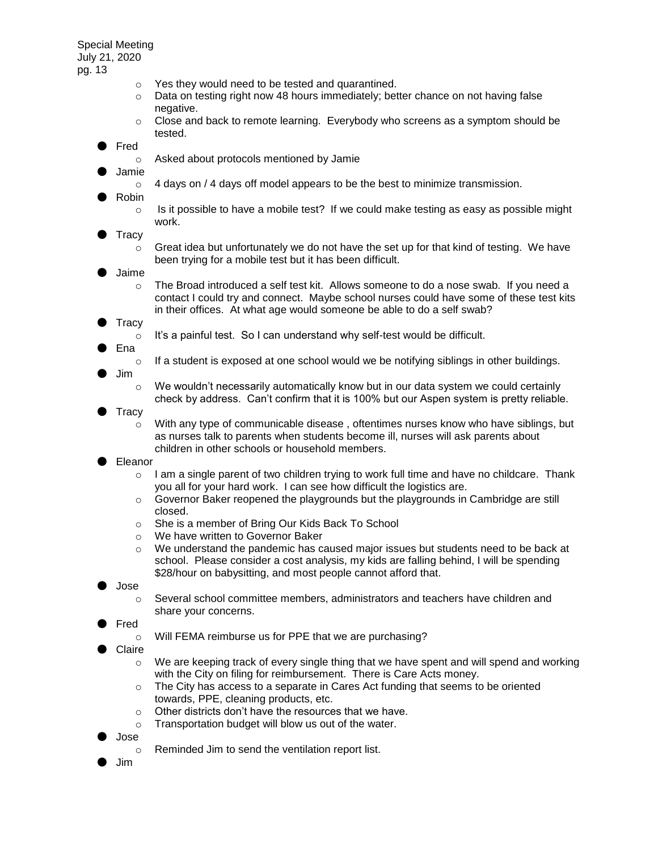- o Yes they would need to be tested and quarantined.
- $\circ$  Data on testing right now 48 hours immediately; better chance on not having false negative.
- $\circ$  Close and back to remote learning. Everybody who screens as a symptom should be tested.
- **Fred** 
	- o Asked about protocols mentioned by Jamie
- **Jamie** 
	- $\circ$  4 days on / 4 days off model appears to be the best to minimize transmission.
- **Robin** 
	- $\circ$  Is it possible to have a mobile test? If we could make testing as easy as possible might work.
- **Tracy** 
	- $\circ$  Great idea but unfortunately we do not have the set up for that kind of testing. We have been trying for a mobile test but it has been difficult.
- **Jaime** 
	- $\circ$  The Broad introduced a self test kit. Allows someone to do a nose swab. If you need a contact I could try and connect. Maybe school nurses could have some of these test kits in their offices. At what age would someone be able to do a self swab?
- **Tracy** 
	- $\circ$  It's a painful test. So I can understand why self-test would be difficult.
- **Ena** 
	- $\circ$  If a student is exposed at one school would we be notifying siblings in other buildings.
- Jim
- $\circ$  We wouldn't necessarily automatically know but in our data system we could certainly check by address. Can't confirm that it is 100% but our Aspen system is pretty reliable.
- **Tracy** 
	- o With any type of communicable disease , oftentimes nurses know who have siblings, but as nurses talk to parents when students become ill, nurses will ask parents about children in other schools or household members.
- Eleanor
	- $\circ$  I am a single parent of two children trying to work full time and have no childcare. Thank you all for your hard work. I can see how difficult the logistics are.
	- $\circ$  Governor Baker reopened the playgrounds but the playgrounds in Cambridge are still closed.
	- o She is a member of Bring Our Kids Back To School
	- o We have written to Governor Baker
	- o We understand the pandemic has caused major issues but students need to be back at school. Please consider a cost analysis, my kids are falling behind, I will be spending \$28/hour on babysitting, and most people cannot afford that.
- Jose
	- $\circ$  Several school committee members, administrators and teachers have children and share your concerns.
- **Fred** 
	- o Will FEMA reimburse us for PPE that we are purchasing?
- **Claire** 
	- o We are keeping track of every single thing that we have spent and will spend and working with the City on filing for reimbursement. There is Care Acts money.
	- $\circ$  The City has access to a separate in Cares Act funding that seems to be oriented towards, PPE, cleaning products, etc.
	- o Other districts don't have the resources that we have.
	- o Transportation budget will blow us out of the water.
- Jose
	- o Reminded Jim to send the ventilation report list.
- Jim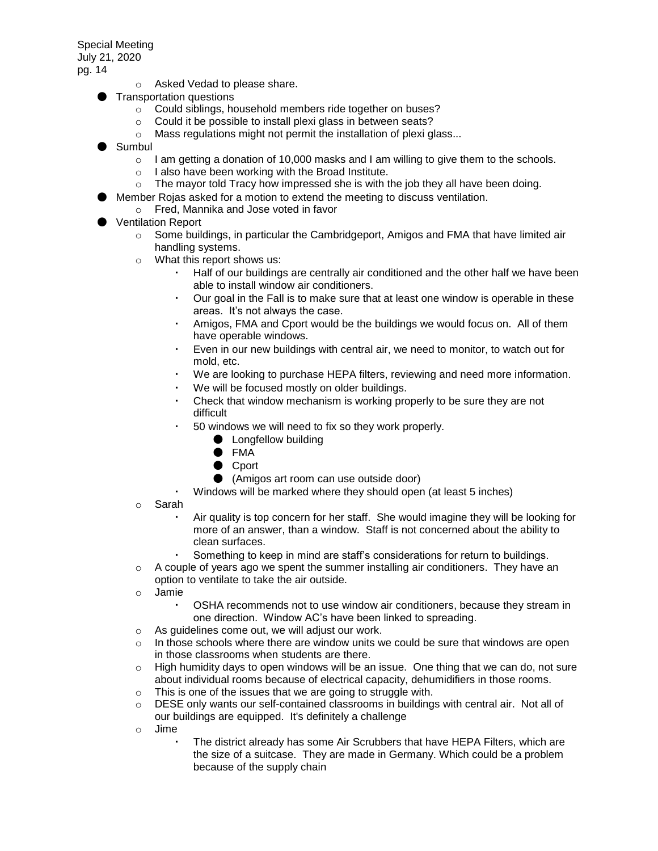- o Asked Vedad to please share.
- Transportation questions
	- o Could siblings, household members ride together on buses?
	- o Could it be possible to install plexi glass in between seats?
	- o Mass regulations might not permit the installation of plexi glass...
- Sumbul
	- $\circ$  I am getting a donation of 10,000 masks and I am willing to give them to the schools.
	- o I also have been working with the Broad Institute.
	- $\circ$  The mayor told Tracy how impressed she is with the job they all have been doing.
	- Member Rojas asked for a motion to extend the meeting to discuss ventilation.
	- o Fred, Mannika and Jose voted in favor
- Ventilation Report
	- $\circ$  Some buildings, in particular the Cambridgeport, Amigos and FMA that have limited air handling systems.
	- o What this report shows us:
		- Half of our buildings are centrally air conditioned and the other half we have been able to install window air conditioners.
		- Our goal in the Fall is to make sure that at least one window is operable in these areas. It's not always the case.
		- Amigos, FMA and Cport would be the buildings we would focus on. All of them have operable windows.
		- Even in our new buildings with central air, we need to monitor, to watch out for mold, etc.
		- We are looking to purchase HEPA filters, reviewing and need more information.
		- We will be focused mostly on older buildings.
		- Check that window mechanism is working properly to be sure they are not difficult
		- 50 windows we will need to fix so they work properly.
			- Longfellow building
				- FMA
				- Cport
				- (Amigos art room can use outside door)
		- Windows will be marked where they should open (at least 5 inches)
	- o Sarah
		- Air quality is top concern for her staff. She would imagine they will be looking for more of an answer, than a window. Staff is not concerned about the ability to clean surfaces.
		- Something to keep in mind are staff's considerations for return to buildings.
	- $\circ$  A couple of years ago we spent the summer installing air conditioners. They have an option to ventilate to take the air outside.
	- o Jamie
		- OSHA recommends not to use window air conditioners, because they stream in one direction. Window AC's have been linked to spreading.
	- o As guidelines come out, we will adjust our work.
	- $\circ$  In those schools where there are window units we could be sure that windows are open in those classrooms when students are there.
	- $\circ$  High humidity days to open windows will be an issue. One thing that we can do, not sure about individual rooms because of electrical capacity, dehumidifiers in those rooms.
	- $\circ$  This is one of the issues that we are going to struggle with.
	- $\circ$  DESE only wants our self-contained classrooms in buildings with central air. Not all of our buildings are equipped. It's definitely a challenge
	- o Jime
		- The district already has some Air Scrubbers that have HEPA Filters, which are the size of a suitcase. They are made in Germany. Which could be a problem because of the supply chain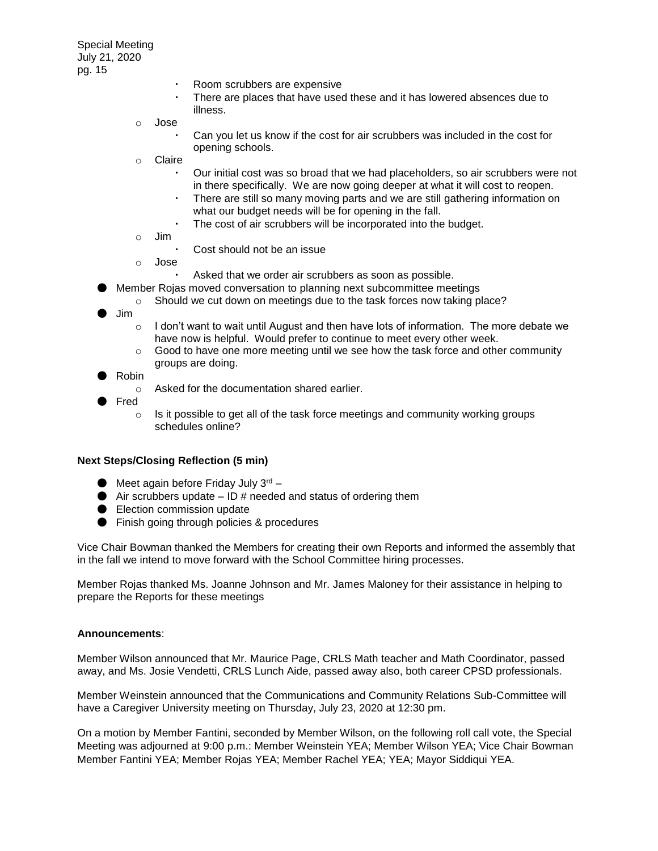- Room scrubbers are expensive
- There are places that have used these and it has lowered absences due to illness.
- o Jose
	- Can you let us know if the cost for air scrubbers was included in the cost for opening schools.
- o Claire
	- Our initial cost was so broad that we had placeholders, so air scrubbers were not in there specifically. We are now going deeper at what it will cost to reopen.
	- There are still so many moving parts and we are still gathering information on what our budget needs will be for opening in the fall.
	- The cost of air scrubbers will be incorporated into the budget.
- o Jim
	- Cost should not be an issue
- o Jose
	- Asked that we order air scrubbers as soon as possible.
- Member Rojas moved conversation to planning next subcommittee meetings
	- o Should we cut down on meetings due to the task forces now taking place?
- Jim
	- $\circ$  I don't want to wait until August and then have lots of information. The more debate we have now is helpful. Would prefer to continue to meet every other week.
	- $\circ$  Good to have one more meeting until we see how the task force and other community groups are doing.
- **Robin** 
	- o Asked for the documentation shared earlier.
- **Fred** 
	- $\circ$  Is it possible to get all of the task force meetings and community working groups schedules online?

### **Next Steps/Closing Reflection (5 min)**

- $\bullet$  Meet again before Friday July  $3^{rd}$  –
- $\bullet$  Air scrubbers update  $-$  ID # needed and status of ordering them
- Election commission update
- Finish going through policies & procedures

Vice Chair Bowman thanked the Members for creating their own Reports and informed the assembly that in the fall we intend to move forward with the School Committee hiring processes.

Member Rojas thanked Ms. Joanne Johnson and Mr. James Maloney for their assistance in helping to prepare the Reports for these meetings

#### **Announcements**:

Member Wilson announced that Mr. Maurice Page, CRLS Math teacher and Math Coordinator, passed away, and Ms. Josie Vendetti, CRLS Lunch Aide, passed away also, both career CPSD professionals.

Member Weinstein announced that the Communications and Community Relations Sub-Committee will have a Caregiver University meeting on Thursday, July 23, 2020 at 12:30 pm.

On a motion by Member Fantini, seconded by Member Wilson, on the following roll call vote, the Special Meeting was adjourned at 9:00 p.m.: Member Weinstein YEA; Member Wilson YEA; Vice Chair Bowman Member Fantini YEA; Member Rojas YEA; Member Rachel YEA; YEA; Mayor Siddiqui YEA.